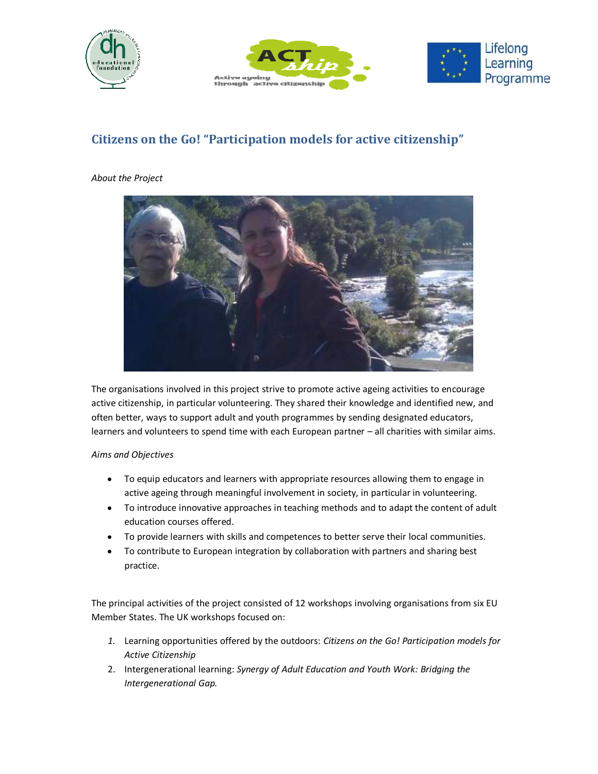





# **Citizens on the Go! "Participation models for active citizenship"**

### *About the Project*



The organisations involved in this project strive to promote active ageing activities to encourage active citizenship, in particular volunteering. They shared their knowledge and identified new, and often better, ways to support adult and youth programmes by sending designated educators, learners and volunteers to spend time with each European partner – all charities with similar aims.

### *Aims and Objectives*

- To equip educators and learners with appropriate resources allowing them to engage in active ageing through meaningful involvement in society, in particular in volunteering.
- To introduce innovative approaches in teaching methods and to adapt the content of adult education courses offered.
- To provide learners with skills and competences to better serve their local communities.
- To contribute to European integration by collaboration with partners and sharing best practice.

The principal activities of the project consisted of 12 workshops involving organisations from six EU Member States. The UK workshops focused on:

- *1.* Learning opportunities offered by the outdoors: *Citizens on the Go! Participation models for Active Citizenship*
- 2. Intergenerational learning: *Synergy of Adult Education and Youth Work: Bridging the Intergenerational Gap.*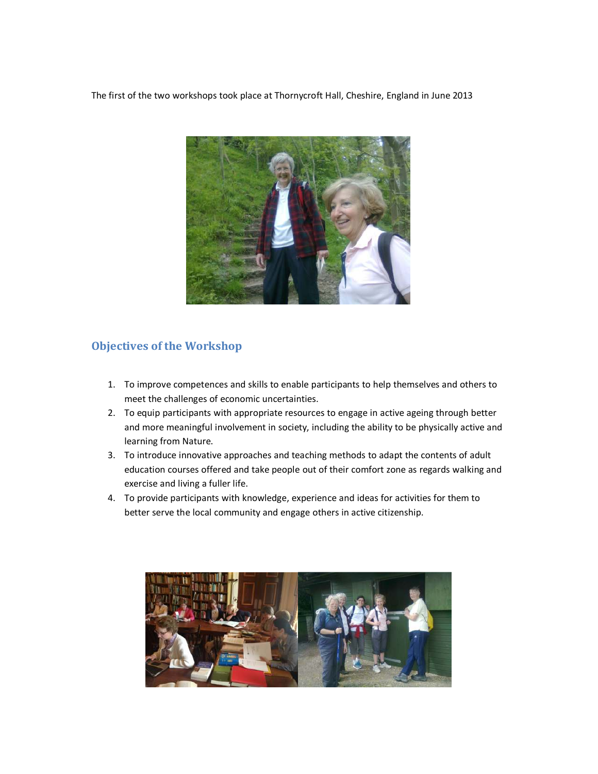The first of the two workshops took place at Thornycroft Hall, Cheshire, England in June 2013



## **Objectives of the Workshop**

- 1. To improve competences and skills to enable participants to help themselves and others to meet the challenges of economic uncertainties.
- 2. To equip participants with appropriate resources to engage in active ageing through better and more meaningful involvement in society, including the ability to be physically active and learning from Nature.
- 3. To introduce innovative approaches and teaching methods to adapt the contents of adult education courses offered and take people out of their comfort zone as regards walking and exercise and living a fuller life.
- 4. To provide participants with knowledge, experience and ideas for activities for them to better serve the local community and engage others in active citizenship.

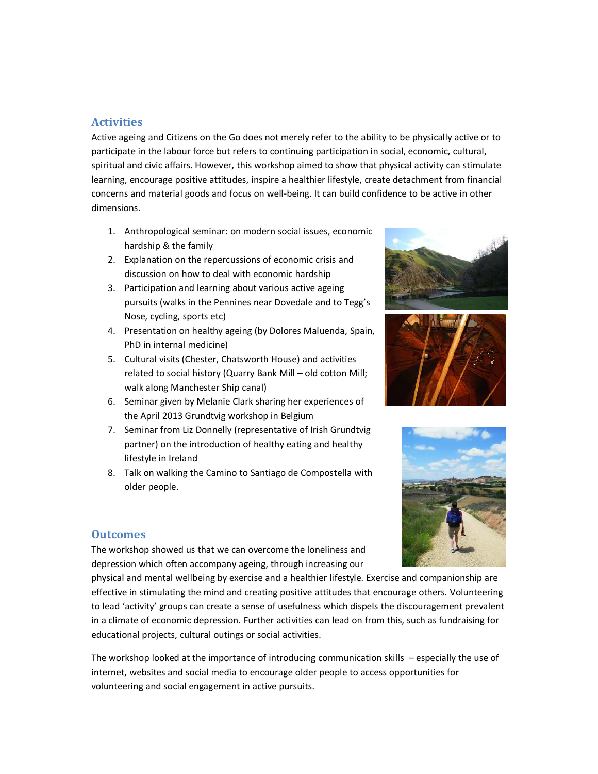### **Activities**

Active ageing and Citizens on the Go does not merely refer to the ability to be physically active or to participate in the labour force but refers to continuing participation in social, economic, cultural, spiritual and civic affairs. However, this workshop aimed to show that physical activity can stimulate learning, encourage positive attitudes, inspire a healthier lifestyle, create detachment from financial concerns and material goods and focus on well-being. It can build confidence to be active in other dimensions.

- 1. Anthropological seminar: on modern social issues, economic hardship & the family
- 2. Explanation on the repercussions of economic crisis and discussion on how to deal with economic hardship
- 3. Participation and learning about various active ageing pursuits (walks in the Pennines near Dovedale and to Tegg's Nose, cycling, sports etc)
- 4. Presentation on healthy ageing (by Dolores Maluenda, Spain, PhD in internal medicine)
- 5. Cultural visits (Chester, Chatsworth House) and activities related to social history (Quarry Bank Mill – old cotton Mill; walk along Manchester Ship canal)
- 6. Seminar given by Melanie Clark sharing her experiences of the April 2013 Grundtvig workshop in Belgium
- 7. Seminar from Liz Donnelly (representative of Irish Grundtvig partner) on the introduction of healthy eating and healthy lifestyle in Ireland
- 8. Talk on walking the Camino to Santiago de Compostella with older people.







### **Outcomes**

The workshop showed us that we can overcome the loneliness and depression which often accompany ageing, through increasing our

physical and mental wellbeing by exercise and a healthier lifestyle. Exercise and companionship are effective in stimulating the mind and creating positive attitudes that encourage others. Volunteering to lead 'activity' groups can create a sense of usefulness which dispels the discouragement prevalent in a climate of economic depression. Further activities can lead on from this, such as fundraising for educational projects, cultural outings or social activities.

The workshop looked at the importance of introducing communication skills – especially the use of internet, websites and social media to encourage older people to access opportunities for volunteering and social engagement in active pursuits.